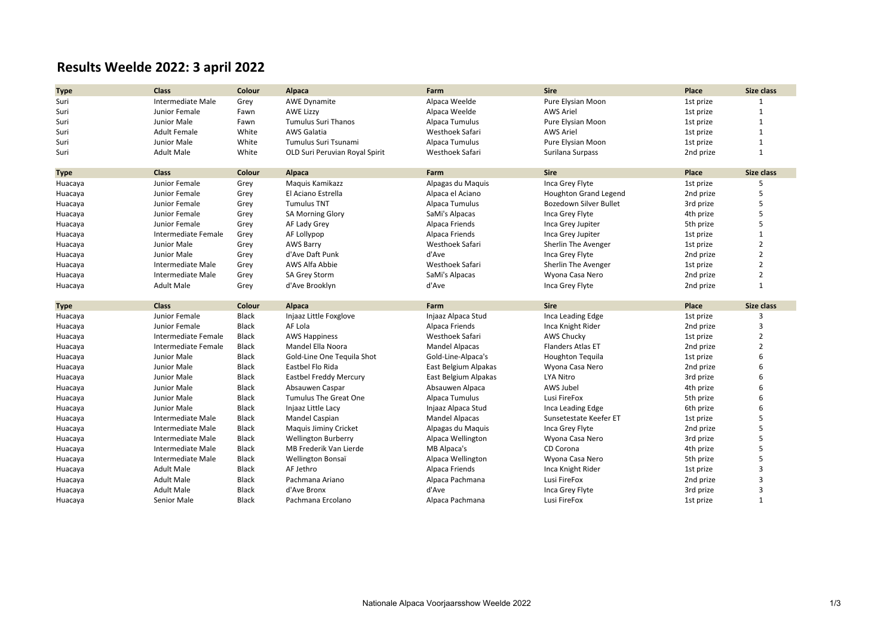## **Results Weelde 2022: 3 april 2022**

| <b>Type</b> | <b>Class</b>             | Colour       | Alpaca                         | Farm                  | <b>Sire</b>              | Place     | Size class        |
|-------------|--------------------------|--------------|--------------------------------|-----------------------|--------------------------|-----------|-------------------|
| Suri        | Intermediate Male        | Grey         | <b>AWE Dynamite</b>            | Alpaca Weelde         | Pure Elysian Moon        | 1st prize |                   |
| Suri        | Junior Female            | Fawn         | <b>AWE Lizzy</b>               | Alpaca Weelde         | <b>AWS Ariel</b>         | 1st prize | $\mathbf{1}$      |
| Suri        | Junior Male              | Fawn         | <b>Tumulus Suri Thanos</b>     | Alpaca Tumulus        | Pure Elysian Moon        | 1st prize | $\mathbf{1}$      |
| Suri        | <b>Adult Female</b>      | White        | AWS Galatia                    | Westhoek Safari       | <b>AWS Ariel</b>         | 1st prize | $\mathbf{1}$      |
| Suri        | Junior Male              | White        | Tumulus Suri Tsunami           | Alpaca Tumulus        | Pure Elysian Moon        | 1st prize | $\mathbf{1}$      |
| Suri        | <b>Adult Male</b>        | White        | OLD Suri Peruvian Royal Spirit | Westhoek Safari       | Surilana Surpass         | 2nd prize | $\mathbf{1}$      |
|             |                          |              |                                |                       |                          |           |                   |
| <b>Type</b> | <b>Class</b>             | Colour       | Alpaca                         | Farm                  | <b>Sire</b>              | Place     | Size class        |
| Huacaya     | Junior Female            | Grey         | Maguis Kamikazz                | Alpagas du Maquis     | Inca Grey Flyte          | 1st prize | 5                 |
| Huacaya     | Junior Female            | Grey         | El Aciano Estrella             | Alpaca el Aciano      | Houghton Grand Legend    | 2nd prize | 5                 |
| Huacaya     | Junior Female            | Grey         | <b>Tumulus TNT</b>             | Alpaca Tumulus        | Bozedown Silver Bullet   | 3rd prize | 5                 |
| Huacaya     | Junior Female            | Grey         | <b>SA Morning Glory</b>        | SaMi's Alpacas        | Inca Grey Flyte          | 4th prize | 5                 |
| Huacaya     | Junior Female            | Grey         | AF Lady Grey                   | Alpaca Friends        | Inca Grey Jupiter        | 5th prize | 5                 |
| Huacaya     | Intermediate Female      | Grey         | AF Lollypop                    | Alpaca Friends        | Inca Grey Jupiter        | 1st prize | $\mathbf{1}$      |
| Huacaya     | Junior Male              | Grey         | <b>AWS Barry</b>               | Westhoek Safari       | Sherlin The Avenger      | 1st prize | $\overline{2}$    |
| Huacaya     | Junior Male              | Grey         | d'Ave Daft Punk                | d'Ave                 | Inca Grey Flyte          | 2nd prize | $\overline{2}$    |
| Huacaya     | Intermediate Male        | Grey         | AWS Alfa Abbie                 | Westhoek Safari       | Sherlin The Avenger      | 1st prize | $\overline{2}$    |
| Huacaya     | Intermediate Male        | Grey         | SA Grey Storm                  | SaMi's Alpacas        | Wyona Casa Nero          | 2nd prize | $\overline{2}$    |
| Huacaya     | <b>Adult Male</b>        | Grey         | d'Ave Brooklyn                 | d'Ave                 | Inca Grey Flyte          | 2nd prize | $\mathbf{1}$      |
|             |                          |              |                                |                       |                          |           |                   |
| <b>Type</b> | <b>Class</b>             | Colour       | Alpaca                         | Farm                  | <b>Sire</b>              | Place     | <b>Size class</b> |
| Huacaya     | Junior Female            | Black        | Injaaz Little Foxglove         | Injaaz Alpaca Stud    | Inca Leading Edge        | 1st prize | 3                 |
| Huacaya     | Junior Female            | <b>Black</b> | AF Lola                        | Alpaca Friends        | Inca Knight Rider        | 2nd prize | 3                 |
| Huacaya     | Intermediate Female      | Black        | <b>AWS Happiness</b>           | Westhoek Safari       | <b>AWS Chucky</b>        | 1st prize | $\overline{2}$    |
| Huacaya     | Intermediate Female      | Black        | Mandel Ella Noora              | <b>Mandel Alpacas</b> | <b>Flanders Atlas ET</b> | 2nd prize | $\overline{2}$    |
| Huacaya     | Junior Male              | Black        | Gold-Line One Tequila Shot     | Gold-Line-Alpaca's    | <b>Houghton Tequila</b>  | 1st prize | 6                 |
| Huacaya     | Junior Male              | <b>Black</b> | Eastbel Flo Rida               | East Belgium Alpakas  | Wyona Casa Nero          | 2nd prize | 6                 |
| Huacaya     | Junior Male              | <b>Black</b> | Eastbel Freddy Mercury         | East Belgium Alpakas  | LYA Nitro                | 3rd prize | 6                 |
| Huacaya     | Junior Male              | Black        | Absauwen Caspar                | Absauwen Alpaca       | AWS Jubel                | 4th prize | 6                 |
| Huacaya     | Junior Male              | <b>Black</b> | <b>Tumulus The Great One</b>   | Alpaca Tumulus        | Lusi FireFox             | 5th prize | 6                 |
| Huacaya     | Junior Male              | Black        | Injaaz Little Lacy             | Injaaz Alpaca Stud    | Inca Leading Edge        | 6th prize | 6                 |
| Huacaya     | <b>Intermediate Male</b> | <b>Black</b> | Mandel Caspian                 | <b>Mandel Alpacas</b> | Sunsetestate Keefer ET   | 1st prize | 5                 |
| Huacaya     | Intermediate Male        | Black        | Maquis Jiminy Cricket          | Alpagas du Maquis     | Inca Grey Flyte          | 2nd prize | $\overline{5}$    |
| Huacaya     | Intermediate Male        | <b>Black</b> | <b>Wellington Burberry</b>     | Alpaca Wellington     | Wyona Casa Nero          | 3rd prize | 5                 |
| Huacaya     | Intermediate Male        | <b>Black</b> | MB Frederik Van Lierde         | MB Alpaca's           | CD Corona                | 4th prize | 5                 |
| Huacaya     | Intermediate Male        | Black        | Wellington Bonsaï              | Alpaca Wellington     | Wyona Casa Nero          | 5th prize | 5                 |
| Huacaya     |                          |              |                                |                       |                          |           | 3                 |
|             | <b>Adult Male</b>        | <b>Black</b> | AF Jethro                      | Alpaca Friends        | Inca Knight Rider        | 1st prize |                   |
| Huacaya     | <b>Adult Male</b>        | <b>Black</b> | Pachmana Ariano                | Alpaca Pachmana       | Lusi FireFox             | 2nd prize | $\overline{3}$    |
| Huacaya     | <b>Adult Male</b>        | <b>Black</b> | d'Ave Bronx                    | d'Ave                 | Inca Grey Flyte          | 3rd prize | 3                 |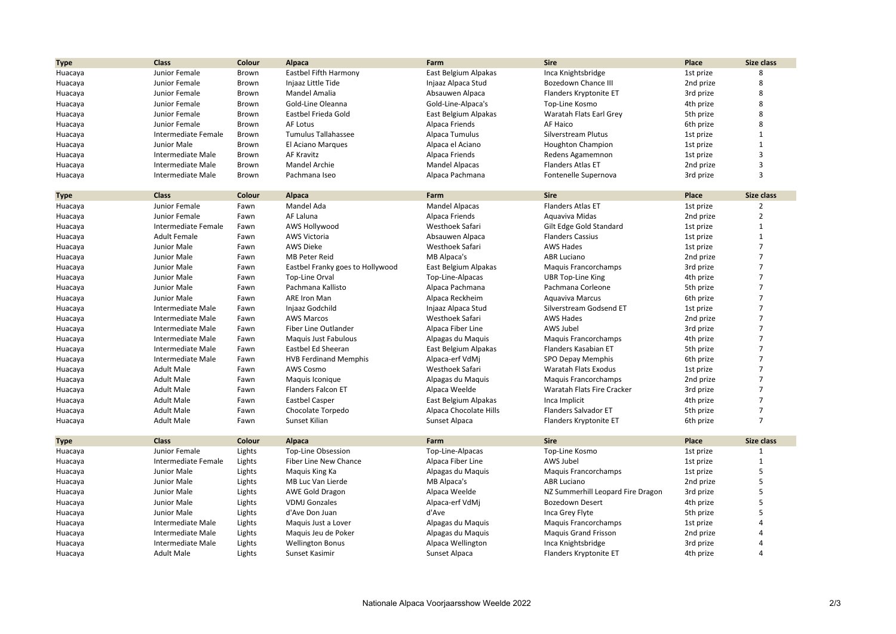| <b>Type</b>            | <b>Class</b>             | Colour           | <b>Alpaca</b>                              | Farm                     | <b>Sire</b>                       | Place              | Size class        |
|------------------------|--------------------------|------------------|--------------------------------------------|--------------------------|-----------------------------------|--------------------|-------------------|
| Huacaya                | Junior Female            | Brown            | Eastbel Fifth Harmony                      | East Belgium Alpakas     | Inca Knightsbridge                | 1st prize          | 8                 |
| Huacaya                | Junior Female            | Brown            | Injaaz Little Tide                         | Injaaz Alpaca Stud       | <b>Bozedown Chance III</b>        | 2nd prize          | 8                 |
| Huacaya                | Junior Female            | Brown            | Mandel Amalia                              | Absauwen Alpaca          | Flanders Kryptonite ET            | 3rd prize          | 8                 |
| Huacaya                | Junior Female            | Brown            | Gold-Line Oleanna                          | Gold-Line-Alpaca's       | Top-Line Kosmo                    | 4th prize          | 8                 |
| Huacaya                | Junior Female            | Brown            | Eastbel Frieda Gold                        | East Belgium Alpakas     | Waratah Flats Earl Grey           | 5th prize          | 8                 |
| Huacaya                | Junior Female            | Brown            | AF Lotus                                   | Alpaca Friends           | AF Haico                          | 6th prize          | 8                 |
| Huacaya                | Intermediate Female      | Brown            | <b>Tumulus Tallahassee</b>                 | Alpaca Tumulus           | Silverstream Plutus               | 1st prize          | $\mathbf{1}$      |
| Huacaya                | Junior Male              | Brown            | El Aciano Marques                          | Alpaca el Aciano         | <b>Houghton Champion</b>          | 1st prize          | $\mathbf{1}$      |
| Huacaya                | Intermediate Male        | Brown            | <b>AF Kravitz</b>                          | Alpaca Friends           | Redens Agamemnon                  | 1st prize          | 3                 |
| Huacaya                | Intermediate Male        | Brown            | Mandel Archie                              | <b>Mandel Alpacas</b>    | Flanders Atlas ET                 | 2nd prize          | 3                 |
| Huacaya                | Intermediate Male        | Brown            | Pachmana Iseo                              | Alpaca Pachmana          | Fontenelle Supernova              | 3rd prize          | 3                 |
|                        |                          |                  |                                            |                          |                                   |                    |                   |
| <b>Type</b>            | <b>Class</b>             | Colour           | Alpaca                                     | Farm                     | <b>Sire</b>                       | Place              | Size class        |
| Huacaya                | Junior Female            | Fawn             | Mandel Ada                                 | <b>Mandel Alpacas</b>    | <b>Flanders Atlas ET</b>          | 1st prize          | $\overline{2}$    |
| Huacaya                | Junior Female            | Fawn             | AF Laluna                                  | Alpaca Friends           | Aquaviva Midas                    | 2nd prize          | $\overline{2}$    |
| Huacaya                | Intermediate Female      | Fawn             | AWS Hollywood                              | Westhoek Safari          | Gilt Edge Gold Standard           | 1st prize          | $\mathbf{1}$      |
| Huacaya                | <b>Adult Female</b>      | Fawn             | <b>AWS Victoria</b>                        | Absauwen Alpaca          | <b>Flanders Cassius</b>           | 1st prize          | $\mathbf{1}$      |
| Huacaya                | Junior Male              | Fawn             | <b>AWS Dieke</b>                           | Westhoek Safari          | <b>AWS Hades</b>                  | 1st prize          | $\overline{7}$    |
| Huacaya                | Junior Male              | Fawn             | <b>MB Peter Reid</b>                       | MB Alpaca's              | <b>ABR Luciano</b>                | 2nd prize          | $\overline{7}$    |
| Huacaya                | Junior Male              | Fawn             | Eastbel Franky goes to Hollywood           | East Belgium Alpakas     | Maquis Francorchamps              | 3rd prize          | 7                 |
| Huacaya                | Junior Male              | Fawn             | Top-Line Orval                             | Top-Line-Alpacas         | <b>UBR Top-Line King</b>          | 4th prize          | $\overline{7}$    |
| Huacaya                | Junior Male              | Fawn             | Pachmana Kallisto                          | Alpaca Pachmana          | Pachmana Corleone                 | 5th prize          | $\overline{7}$    |
| Huacaya                | Junior Male              | Fawn             | <b>ARE Iron Man</b>                        | Alpaca Reckheim          | Aguaviva Marcus                   | 6th prize          | $\overline{7}$    |
| Huacaya                | Intermediate Male        | Fawn             | Injaaz Godchild                            | Injaaz Alpaca Stud       | Silverstream Godsend ET           | 1st prize          | $\overline{7}$    |
| Huacaya                | Intermediate Male        | Fawn             | <b>AWS Marcos</b>                          | Westhoek Safari          | <b>AWS Hades</b>                  | 2nd prize          | $\overline{7}$    |
| Huacaya                | Intermediate Male        | Fawn             | Fiber Line Outlander                       | Alpaca Fiber Line        | AWS Jubel                         | 3rd prize          | $\overline{7}$    |
| Huacaya                | Intermediate Male        | Fawn             | Maguis Just Fabulous                       | Alpagas du Maquis        | Maquis Francorchamps              | 4th prize          | $\overline{7}$    |
| Huacaya                | Intermediate Male        | Fawn             | Eastbel Ed Sheeran                         | East Belgium Alpakas     | Flanders Kasabian ET              | 5th prize          | $\overline{7}$    |
| Huacaya                | Intermediate Male        | Fawn             | <b>HVB Ferdinand Memphis</b>               | Alpaca-erf VdMj          | SPO Depay Memphis                 | 6th prize          | $\overline{7}$    |
| Huacaya                | <b>Adult Male</b>        | Fawn             | AWS Cosmo                                  | Westhoek Safari          | Waratah Flats Exodus              | 1st prize          | $\overline{7}$    |
| Huacaya                | <b>Adult Male</b>        | Fawn             | Maguis Iconique                            | Alpagas du Maquis        | Maquis Francorchamps              | 2nd prize          | $\overline{7}$    |
| Huacaya                | <b>Adult Male</b>        | Fawn             | Flanders Falcon ET                         | Alpaca Weelde            | Waratah Flats Fire Cracker        | 3rd prize          | $\overline{7}$    |
| Huacaya                | <b>Adult Male</b>        | Fawn             | <b>Eastbel Casper</b>                      | East Belgium Alpakas     | Inca Implicit                     | 4th prize          | $\overline{7}$    |
| Huacaya                | <b>Adult Male</b>        | Fawn             | Chocolate Torpedo                          | Alpaca Chocolate Hills   | Flanders Salvador ET              | 5th prize          | $\overline{7}$    |
| Huacaya                | <b>Adult Male</b>        | Fawn             | Sunset Kilian                              | Sunset Alpaca            | Flanders Kryptonite ET            | 6th prize          | $\overline{7}$    |
|                        | <b>Class</b>             |                  |                                            |                          | <b>Sire</b>                       |                    | <b>Size class</b> |
| <b>Type</b><br>Huacaya | Junior Female            | Colour<br>Lights | <b>Alpaca</b><br><b>Top-Line Obsession</b> | Farm<br>Top-Line-Alpacas | Top-Line Kosmo                    | Place<br>1st prize | 1                 |
| Huacaya                | Intermediate Female      | Lights           | Fiber Line New Chance                      | Alpaca Fiber Line        | AWS Jubel                         | 1st prize          | $\mathbf{1}$      |
| Huacaya                | Junior Male              | Lights           | Maquis King Ka                             | Alpagas du Maquis        | Maquis Francorchamps              | 1st prize          | 5                 |
| Huacaya                | Junior Male              | Lights           | MB Luc Van Lierde                          | MB Alpaca's              | <b>ABR Luciano</b>                | 2nd prize          | 5                 |
| Huacaya                | Junior Male              | Lights           | <b>AWE Gold Dragon</b>                     | Alpaca Weelde            | NZ Summerhill Leopard Fire Dragon | 3rd prize          | 5                 |
|                        | Junior Male              | Lights           | <b>VDMJ Gonzales</b>                       | Alpaca-erf VdMj          | <b>Bozedown Desert</b>            | 4th prize          | 5                 |
| Huacaya<br>Huacaya     | Junior Male              | Lights           | d'Ave Don Juan                             | d'Ave                    | Inca Grey Flyte                   | 5th prize          | 5                 |
|                        | Intermediate Male        |                  | Maquis Just a Lover                        | Alpagas du Maquis        | Maquis Francorchamps              | 1st prize          | 4                 |
| Huacaya                | Intermediate Male        | Lights<br>Lights | Maguis Jeu de Poker                        | Alpagas du Maquis        | <b>Maquis Grand Frisson</b>       | 2nd prize          |                   |
| Huacaya                | <b>Intermediate Male</b> | Lights           | <b>Wellington Bonus</b>                    | Alpaca Wellington        | Inca Knightsbridge                | 3rd prize          | 4                 |
| Huacaya                |                          |                  |                                            |                          |                                   |                    | $\Delta$          |
| Huacaya                | <b>Adult Male</b>        | Lights           | Sunset Kasimir                             | Sunset Alpaca            | Flanders Kryptonite ET            | 4th prize          |                   |